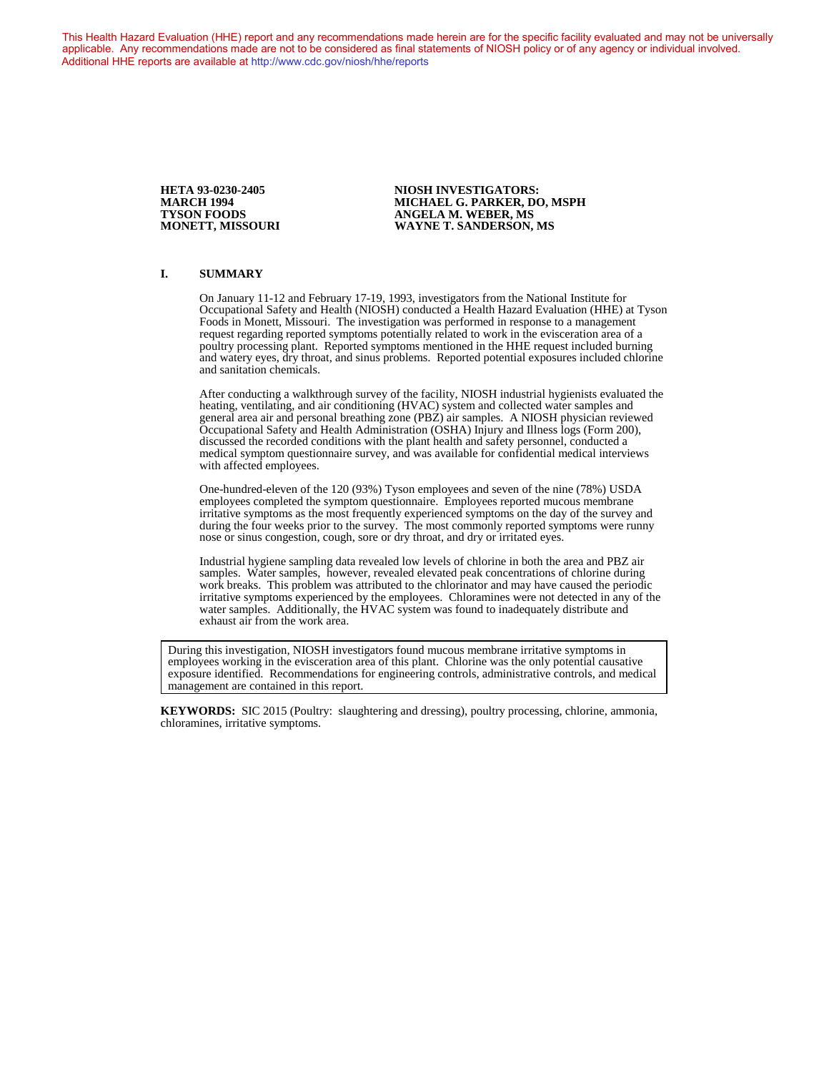This Health Hazard Evaluation (HHE) report and any recommendations made herein are for the specific facility evaluated and may not be universally applicable. Any recommendations made are not to be considered as final statements of NIOSH policy or of any agency or individual involved. Additional HHE reports are available at <http://www.cdc.gov/niosh/hhe/reports> Additional HHE reports are available at <http://www.cdc.gov/niosh/hhe/reports>

**HETA 93-0230-2405 NIOSH INVESTIGATORS: MARCH 1994 MICHAEL G. PARKER, DO, MSPH TYSON FOODS** ANGELA M. WEBER, MS<br>MONETT, MISSOURI WAYNE T. SANDERSON, **WAYNE T. SANDERSON, MS** 

#### **I. SUMMARY**

On January 11-12 and February 17-19, 1993, investigators from the National Institute for Occupational Safety and Health (NIOSH) conducted a Health Hazard Evaluation (HHE) at Tyson Foods in Monett, Missouri. The investigation was performed in response to a management request regarding reported symptoms potentially related to work in the evisceration area of a poultry processing plant. Reported symptoms mentioned in the HHE request included burning and watery eyes, dry throat, and sinus problems. Reported potential exposures included chlorine and sanitation chemicals.

After conducting a walkthrough survey of the facility, NIOSH industrial hygienists evaluated the heating, ventilating, and air conditioning (HVAC) system and collected water samples and general area air and personal breathing zone (PBZ) air samples. A NIOSH physician reviewed Occupational Safety and Health Administration (OSHA) Injury and Illness logs (Form 200), discussed the recorded conditions with the plant health and safety personnel, conducted a medical symptom questionnaire survey, and was available for confidential medical interviews with affected employees.

One-hundred-eleven of the 120 (93%) Tyson employees and seven of the nine (78%) USDA employees completed the symptom questionnaire. Employees reported mucous membrane irritative symptoms as the most frequently experienced symptoms on the day of the survey and during the four weeks prior to the survey. The most commonly reported symptoms were runny nose or sinus congestion, cough, sore or dry throat, and dry or irritated eyes.

Industrial hygiene sampling data revealed low levels of chlorine in both the area and PBZ air samples. Water samples, however, revealed elevated peak concentrations of chlorine during work breaks. This problem was attributed to the chlorinator and may have caused the periodic irritative symptoms experienced by the employees. Chloramines were not detected in any of the water samples. Additionally, the HVAC system was found to inadequately distribute and exhaust air from the work area.

During this investigation, NIOSH investigators found mucous membrane irritative symptoms in employees working in the evisceration area of this plant. Chlorine was the only potential causative exposure identified. Recommendations for engineering controls, administrative controls, and medical management are contained in this report.

**KEYWORDS:** SIC 2015 (Poultry: slaughtering and dressing), poultry processing, chlorine, ammonia, chloramines, irritative symptoms.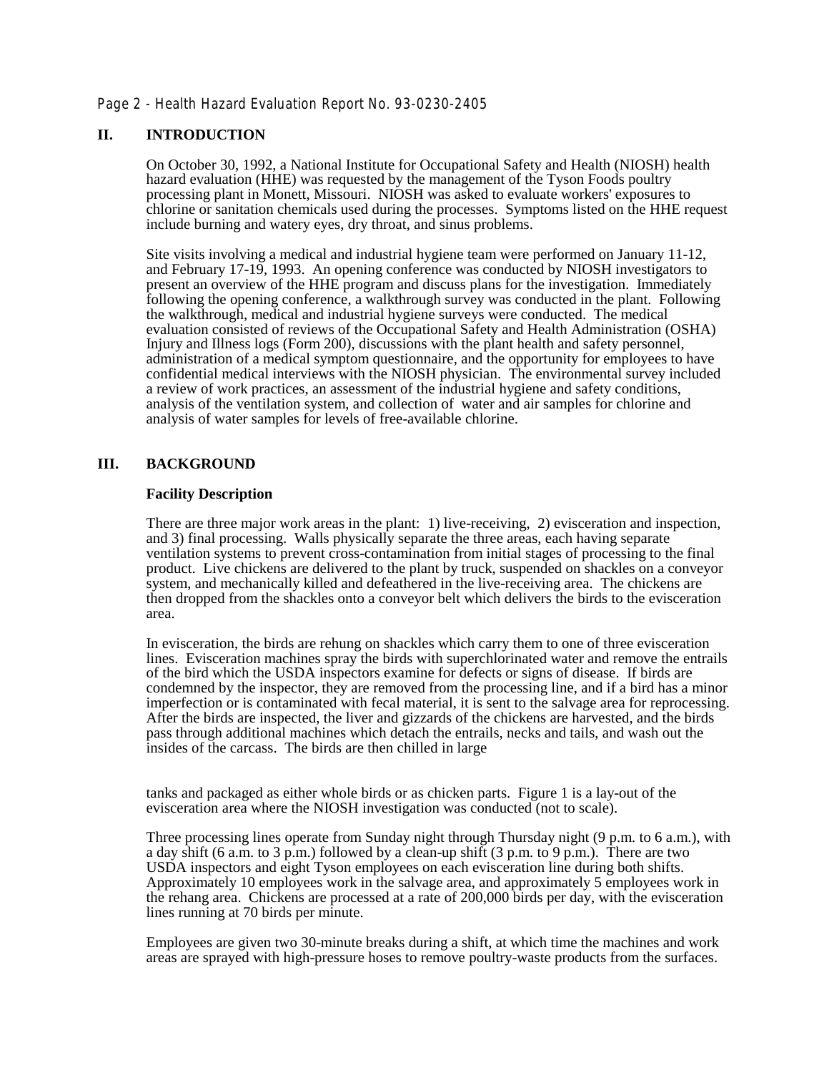Page 2 - Health Hazard Evaluation Report No. 93-0230-2405

# **II. INTRODUCTION**

On October 30, 1992, a National Institute for Occupational Safety and Health (NIOSH) health hazard evaluation (HHE) was requested by the management of the Tyson Foods poultry processing plant in Monett, Missouri. NIOSH was asked to evaluate workers' exposures to chlorine or sanitation chemicals used during the processes. Symptoms listed on the HHE request include burning and watery eyes, dry throat, and sinus problems.

Site visits involving a medical and industrial hygiene team were performed on January 11-12, and February 17-19, 1993. An opening conference was conducted by NIOSH investigators to present an overview of the HHE program and discuss plans for the investigation. Immediately following the opening conference, a walkthrough survey was conducted in the plant. Following the walkthrough, medical and industrial hygiene surveys were conducted. The medical evaluation consisted of reviews of the Occupational Safety and Health Administration (OSHA) Injury and Illness logs (Form 200), discussions with the plant health and safety personnel, administration of a medical symptom questionnaire, and the opportunity for employees to have confidential medical interviews with the NIOSH physician. The environmental survey included a review of work practices, an assessment of the industrial hygiene and safety conditions, analysis of the ventilation system, and collection of water and air samples for chlorine and analysis of water samples for levels of free-available chlorine.

# **III. BACKGROUND**

### **Facility Description**

There are three major work areas in the plant: 1) live-receiving, 2) evisceration and inspection, and 3) final processing. Walls physically separate the three areas, each having separate ventilation systems to prevent cross-contamination from initial stages of processing to the final product. Live chickens are delivered to the plant by truck, suspended on shackles on a conveyor system, and mechanically killed and defeathered in the live-receiving area. The chickens are then dropped from the shackles onto a conveyor belt which delivers the birds to the evisceration area.

In evisceration, the birds are rehung on shackles which carry them to one of three evisceration lines. Evisceration machines spray the birds with superchlorinated water and remove the entrails of the bird which the USDA inspectors examine for defects or signs of disease. If birds are condemned by the inspector, they are removed from the processing line, and if a bird has a minor imperfection or is contaminated with fecal material, it is sent to the salvage area for reprocessing. After the birds are inspected, the liver and gizzards of the chickens are harvested, and the birds pass through additional machines which detach the entrails, necks and tails, and wash out the insides of the carcass. The birds are then chilled in large

tanks and packaged as either whole birds or as chicken parts. Figure 1 is a lay-out of the evisceration area where the NIOSH investigation was conducted (not to scale).

Three processing lines operate from Sunday night through Thursday night (9 p.m. to 6 a.m.), with a day shift (6 a.m. to 3 p.m.) followed by a clean-up shift (3 p.m. to 9 p.m.). There are two USDA inspectors and eight Tyson employees on each evisceration line during both shifts. Approximately 10 employees work in the salvage area, and approximately 5 employees work in the rehang area. Chickens are processed at a rate of 200,000 birds per day, with the evisceration lines running at 70 birds per minute.

Employees are given two 30-minute breaks during a shift, at which time the machines and work areas are sprayed with high-pressure hoses to remove poultry-waste products from the surfaces.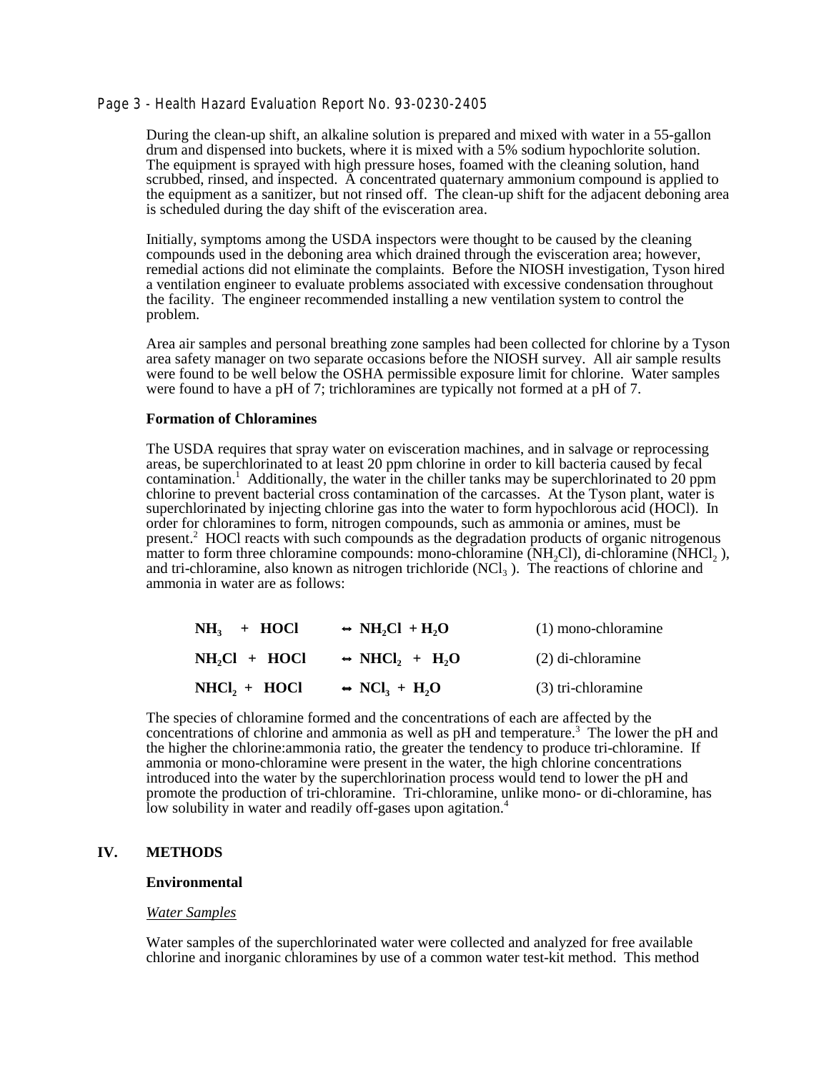### Page 3 - Health Hazard Evaluation Report No. 93-0230-2405

During the clean-up shift, an alkaline solution is prepared and mixed with water in a 55-gallon drum and dispensed into buckets, where it is mixed with a 5% sodium hypochlorite solution. The equipment is sprayed with high pressure hoses, foamed with the cleaning solution, hand scrubbed, rinsed, and inspected. A concentrated quaternary ammonium compound is applied to the equipment as a sanitizer, but not rinsed off. The clean-up shift for the adjacent deboning area is scheduled during the day shift of the evisceration area.

Initially, symptoms among the USDA inspectors were thought to be caused by the cleaning compounds used in the deboning area which drained through the evisceration area; however, remedial actions did not eliminate the complaints. Before the NIOSH investigation, Tyson hired a ventilation engineer to evaluate problems associated with excessive condensation throughout the facility. The engineer recommended installing a new ventilation system to control the problem.

Area air samples and personal breathing zone samples had been collected for chlorine by a Tyson area safety manager on two separate occasions before the NIOSH survey. All air sample results were found to be well below the OSHA permissible exposure limit for chlorine. Water samples were found to have a pH of 7; trichloramines are typically not formed at a pH of 7.

#### **Formation of Chloramines**

The USDA requires that spray water on evisceration machines, and in salvage or reprocessing areas, be superchlorinated to at least 20 ppm chlorine in order to kill bacteria caused by fecal contamination.<sup>1</sup> Additionally, the water in the chiller tanks may be superchlorinated to 20 ppm chlorine to prevent bacterial cross contamination of the carcasses. At the Tyson plant, water is superchlorinated by injecting chlorine gas into the water to form hypochlorous acid (HOCl). In order for chloramines to form, nitrogen compounds, such as ammonia or amines, must be present.<sup>2</sup> HOCl reacts with such compounds as the degradation products of organic nitrogenous matter to form three chloramine compounds: mono-chloramine  $(NH_2Cl)$ , di-chloramine  $(NHCl_2)$ , and tri-chloramine, also known as nitrogen trichloride  $(NCl<sub>3</sub>)$ . The reactions of chlorine and ammonia in water are as follows:

| $NH_3$ + HOCl   | $\rightarrow$ NH <sub>2</sub> Cl + H <sub>2</sub> O | $(1)$ mono-chloramine |
|-----------------|-----------------------------------------------------|-----------------------|
| $NH,Cl + HOCl$  | $\leftrightarrow$ NHCl, + H <sub>2</sub> O          | $(2)$ di-chloramine   |
| $NHCI_2 + HOCI$ | $\rightarrow$ NCl <sub>3</sub> + H <sub>2</sub> O   | (3) tri-chloramine    |

The species of chloramine formed and the concentrations of each are affected by the concentrations of chlorine and ammonia as well as pH and temperature.<sup>3</sup> The lower the pH and the higher the chlorine:ammonia ratio, the greater the tendency to produce tri-chloramine. If ammonia or mono-chloramine were present in the water, the high chlorine concentrations introduced into the water by the superchlorination process would tend to lower the pH and promote the production of tri-chloramine. Tri-chloramine, unlike mono- or di-chloramine, has low solubility in water and readily off-gases upon agitation.<sup>4</sup>

#### **IV. METHODS**

#### **Environmental**

#### *Water Samples*

Water samples of the superchlorinated water were collected and analyzed for free available chlorine and inorganic chloramines by use of a common water test-kit method. This method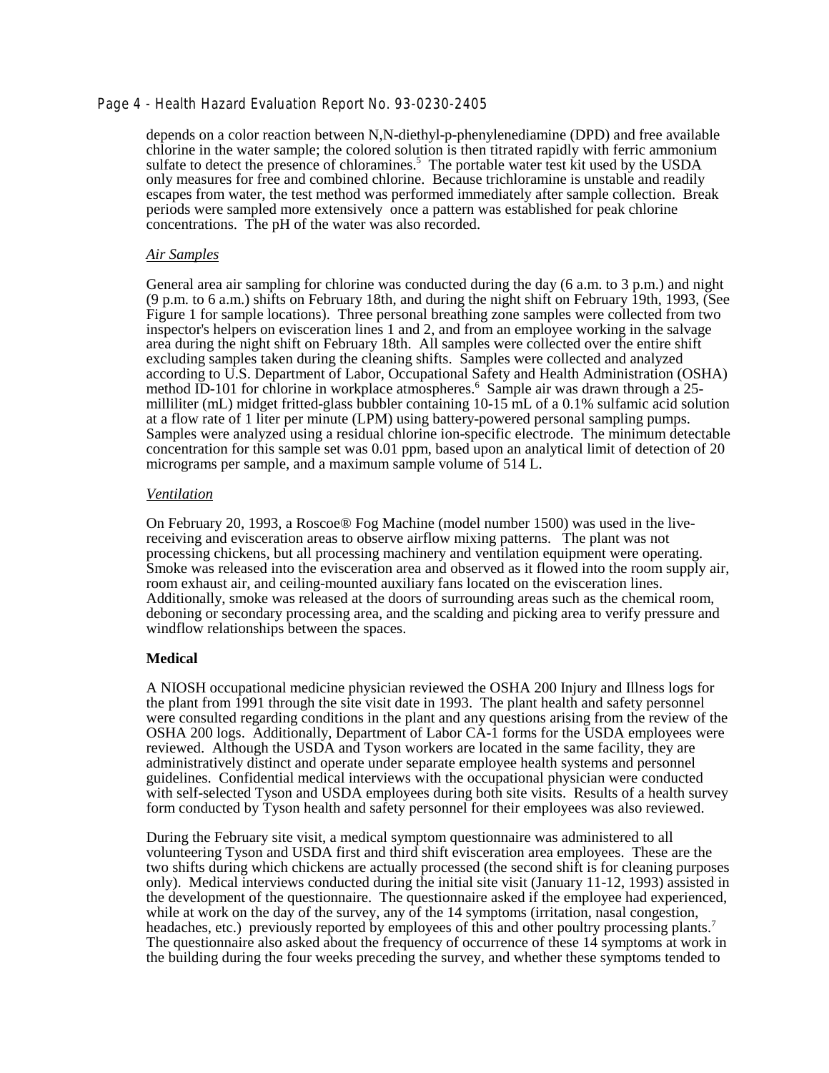# Page 4 - Health Hazard Evaluation Report No. 93-0230-2405

depends on a color reaction between N,N-diethyl-p-phenylenediamine (DPD) and free available chlorine in the water sample; the colored solution is then titrated rapidly with ferric ammonium sulfate to detect the presence of chloramines.<sup>5</sup> The portable water test kit used by the USDA only measures for free and combined chlorine. Because trichloramine is unstable and readily escapes from water, the test method was performed immediately after sample collection. Break periods were sampled more extensively once a pattern was established for peak chlorine concentrations. The pH of the water was also recorded.

#### *Air Samples*

General area air sampling for chlorine was conducted during the day (6 a.m. to 3 p.m.) and night (9 p.m. to 6 a.m.) shifts on February 18th, and during the night shift on February 19th, 1993, (See Figure 1 for sample locations). Three personal breathing zone samples were collected from two inspector's helpers on evisceration lines 1 and 2, and from an employee working in the salvage area during the night shift on February 18th. All samples were collected over the entire shift excluding samples taken during the cleaning shifts. Samples were collected and analyzed according to U.S. Department of Labor, Occupational Safety and Health Administration (OSHA) method ID-101 for chlorine in workplace atmospheres.<sup>6</sup> Sample air was drawn through a 25milliliter (mL) midget fritted-glass bubbler containing 10-15 mL of a 0.1% sulfamic acid solution at a flow rate of 1 liter per minute (LPM) using battery-powered personal sampling pumps. Samples were analyzed using a residual chlorine ion-specific electrode. The minimum detectable concentration for this sample set was 0.01 ppm, based upon an analytical limit of detection of 20 micrograms per sample, and a maximum sample volume of 514 L.

#### *Ventilation*

On February 20, 1993, a Roscoe® Fog Machine (model number 1500) was used in the livereceiving and evisceration areas to observe airflow mixing patterns. The plant was not processing chickens, but all processing machinery and ventilation equipment were operating. Smoke was released into the evisceration area and observed as it flowed into the room supply air, room exhaust air, and ceiling-mounted auxiliary fans located on the evisceration lines. Additionally, smoke was released at the doors of surrounding areas such as the chemical room, deboning or secondary processing area, and the scalding and picking area to verify pressure and windflow relationships between the spaces.

### **Medical**

A NIOSH occupational medicine physician reviewed the OSHA 200 Injury and Illness logs for the plant from 1991 through the site visit date in 1993. The plant health and safety personnel were consulted regarding conditions in the plant and any questions arising from the review of the OSHA 200 logs. Additionally, Department of Labor CA-1 forms for the USDA employees were reviewed. Although the USDA and Tyson workers are located in the same facility, they are administratively distinct and operate under separate employee health systems and personnel guidelines. Confidential medical interviews with the occupational physician were conducted with self-selected Tyson and USDA employees during both site visits. Results of a health survey form conducted by Tyson health and safety personnel for their employees was also reviewed.

During the February site visit, a medical symptom questionnaire was administered to all volunteering Tyson and USDA first and third shift evisceration area employees. These are the two shifts during which chickens are actually processed (the second shift is for cleaning purposes only). Medical interviews conducted during the initial site visit (January 11-12, 1993) assisted in the development of the questionnaire. The questionnaire asked if the employee had experienced, while at work on the day of the survey, any of the 14 symptoms (irritation, nasal congestion, headaches, etc.) previously reported by employees of this and other poultry processing plants.<sup>7</sup> The questionnaire also asked about the frequency of occurrence of these 14 symptoms at work in the building during the four weeks preceding the survey, and whether these symptoms tended to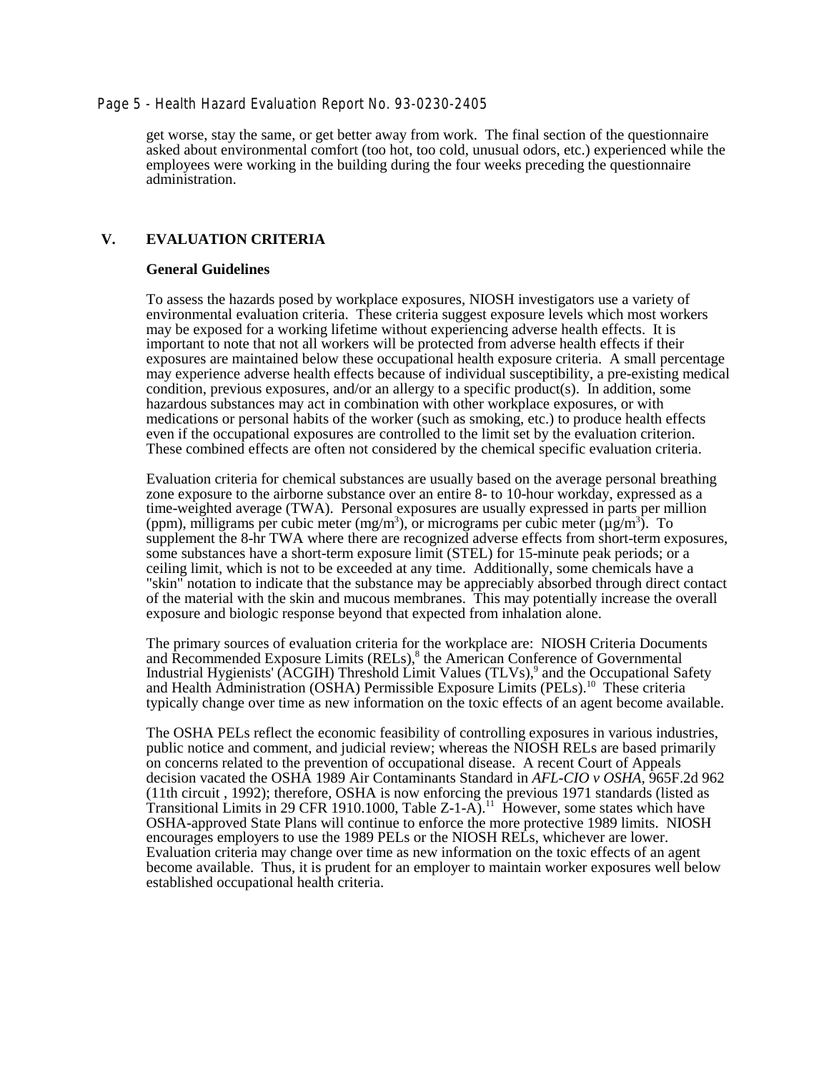### Page 5 - Health Hazard Evaluation Report No. 93-0230-2405

get worse, stay the same, or get better away from work. The final section of the questionnaire asked about environmental comfort (too hot, too cold, unusual odors, etc.) experienced while the employees were working in the building during the four weeks preceding the questionnaire administration.

# **V. EVALUATION CRITERIA**

#### **General Guidelines**

To assess the hazards posed by workplace exposures, NIOSH investigators use a variety of environmental evaluation criteria. These criteria suggest exposure levels which most workers may be exposed for a working lifetime without experiencing adverse health effects. It is important to note that not all workers will be protected from adverse health effects if their exposures are maintained below these occupational health exposure criteria. A small percentage may experience adverse health effects because of individual susceptibility, a pre-existing medical condition, previous exposures, and/or an allergy to a specific product(s). In addition, some hazardous substances may act in combination with other workplace exposures, or with medications or personal habits of the worker (such as smoking, etc.) to produce health effects even if the occupational exposures are controlled to the limit set by the evaluation criterion. These combined effects are often not considered by the chemical specific evaluation criteria.

Evaluation criteria for chemical substances are usually based on the average personal breathing zone exposure to the airborne substance over an entire 8- to 10-hour workday, expressed as a time-weighted average (TWA). Personal exposures are usually expressed in parts per million (ppm), milligrams per cubic meter (mg/m<sup>3</sup>), or micrograms per cubic meter ( $\mu$ g/m<sup>3</sup>). To supplement the 8-hr TWA where there are recognized adverse effects from short-term exposures, some substances have a short-term exposure limit (STEL) for 15-minute peak periods; or a ceiling limit, which is not to be exceeded at any time. Additionally, some chemicals have a "skin" notation to indicate that the substance may be appreciably absorbed through direct contact of the material with the skin and mucous membranes. This may potentially increase the overall exposure and biologic response beyond that expected from inhalation alone.

The primary sources of evaluation criteria for the workplace are: NIOSH Criteria Documents and Recommended Exposure Limits (RELs),<sup>8</sup> the American Conference of Governmental Industrial Hygienists' (ACGIH) Threshold Limit Values (TLVs),<sup>9</sup> and the Occupational Safety and Health Administration (OSHA) Permissible Exposure Limits (PELs).10 These criteria typically change over time as new information on the toxic effects of an agent become available.

The OSHA PELs reflect the economic feasibility of controlling exposures in various industries, public notice and comment, and judicial review; whereas the NIOSH RELs are based primarily on concerns related to the prevention of occupational disease. A recent Court of Appeals decision vacated the OSHA 1989 Air Contaminants Standard in *AFL-CIO v OSHA,* 965F.2d 962 (11th circuit , 1992); therefore, OSHA is now enforcing the previous 1971 standards (listed as Transitional Limits in 29 CFR 1910.1000, Table Z-1-A).11 However, some states which have OSHA-approved State Plans will continue to enforce the more protective 1989 limits. NIOSH encourages employers to use the 1989 PELs or the NIOSH RELs, whichever are lower. Evaluation criteria may change over time as new information on the toxic effects of an agent become available. Thus, it is prudent for an employer to maintain worker exposures well below established occupational health criteria.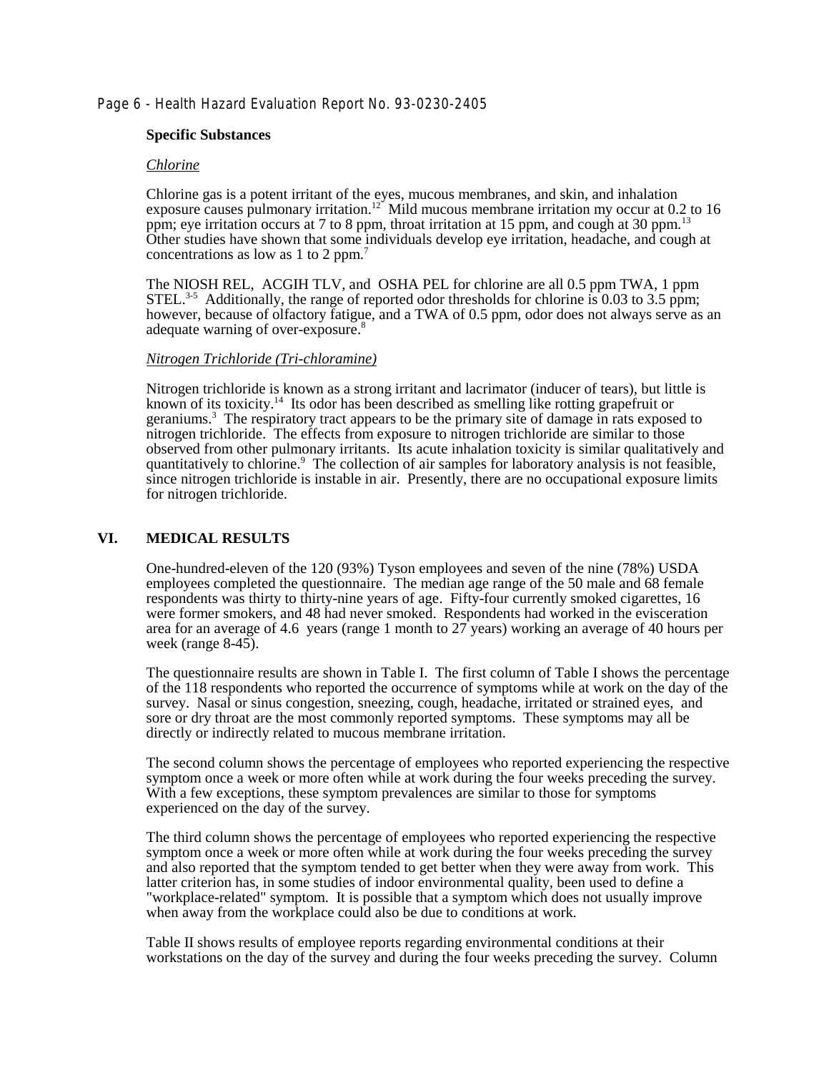# Page 6 - Health Hazard Evaluation Report No. 93-0230-2405

### **Specific Substances**

### *Chlorine*

Chlorine gas is a potent irritant of the eyes, mucous membranes, and skin, and inhalation exposure causes pulmonary irritation.<sup>12</sup> Mild mucous membrane irritation my occur at 0.2 to 16 ppm; eye irritation occurs at 7 to 8 ppm, throat irritation at 15 ppm, and cough at 30 ppm.<sup>13</sup> Other studies have shown that some individuals develop eye irritation, headache, and cough at concentrations as low as 1 to 2 ppm.7

The NIOSH REL, ACGIH TLV, and OSHA PEL for chlorine are all 0.5 ppm TWA, 1 ppm STEL.<sup>3-5</sup> Additionally, the range of reported odor thresholds for chlorine is 0.03 to 3.5 ppm; however, because of olfactory fatigue, and a TWA of 0.5 ppm, odor does not always serve as an adequate warning of over-exposure.<sup>8</sup>

### *Nitrogen Trichloride (Tri-chloramine)*

Nitrogen trichloride is known as a strong irritant and lacrimator (inducer of tears), but little is known of its toxicity.<sup>14</sup> Its odor has been described as smelling like rotting grapefruit or geraniums.<sup>3</sup> The respiratory tract appears to be the primary site of damage in rats exposed to nitrogen trichloride. The effects from exposure to nitrogen trichloride are similar to those observed from other pulmonary irritants. Its acute inhalation toxicity is similar qualitatively and quantitatively to chlorine.<sup>9</sup> The collection of air samples for laboratory analysis is not feasible, since nitrogen trichloride is instable in air. Presently, there are no occupational exposure limits for nitrogen trichloride.

### **VI. MEDICAL RESULTS**

One-hundred-eleven of the 120 (93%) Tyson employees and seven of the nine (78%) USDA employees completed the questionnaire. The median age range of the 50 male and 68 female respondents was thirty to thirty-nine years of age. Fifty-four currently smoked cigarettes, 16 were former smokers, and 48 had never smoked. Respondents had worked in the evisceration area for an average of 4.6 years (range 1 month to 27 years) working an average of 40 hours per week (range 8-45).

The questionnaire results are shown in Table I. The first column of Table I shows the percentage of the 118 respondents who reported the occurrence of symptoms while at work on the day of the survey. Nasal or sinus congestion, sneezing, cough, headache, irritated or strained eyes, and sore or dry throat are the most commonly reported symptoms. These symptoms may all be directly or indirectly related to mucous membrane irritation.

The second column shows the percentage of employees who reported experiencing the respective symptom once a week or more often while at work during the four weeks preceding the survey. With a few exceptions, these symptom prevalences are similar to those for symptoms experienced on the day of the survey.

The third column shows the percentage of employees who reported experiencing the respective symptom once a week or more often while at work during the four weeks preceding the survey and also reported that the symptom tended to get better when they were away from work. This latter criterion has, in some studies of indoor environmental quality, been used to define a "workplace-related" symptom. It is possible that a symptom which does not usually improve when away from the workplace could also be due to conditions at work.

Table II shows results of employee reports regarding environmental conditions at their workstations on the day of the survey and during the four weeks preceding the survey. Column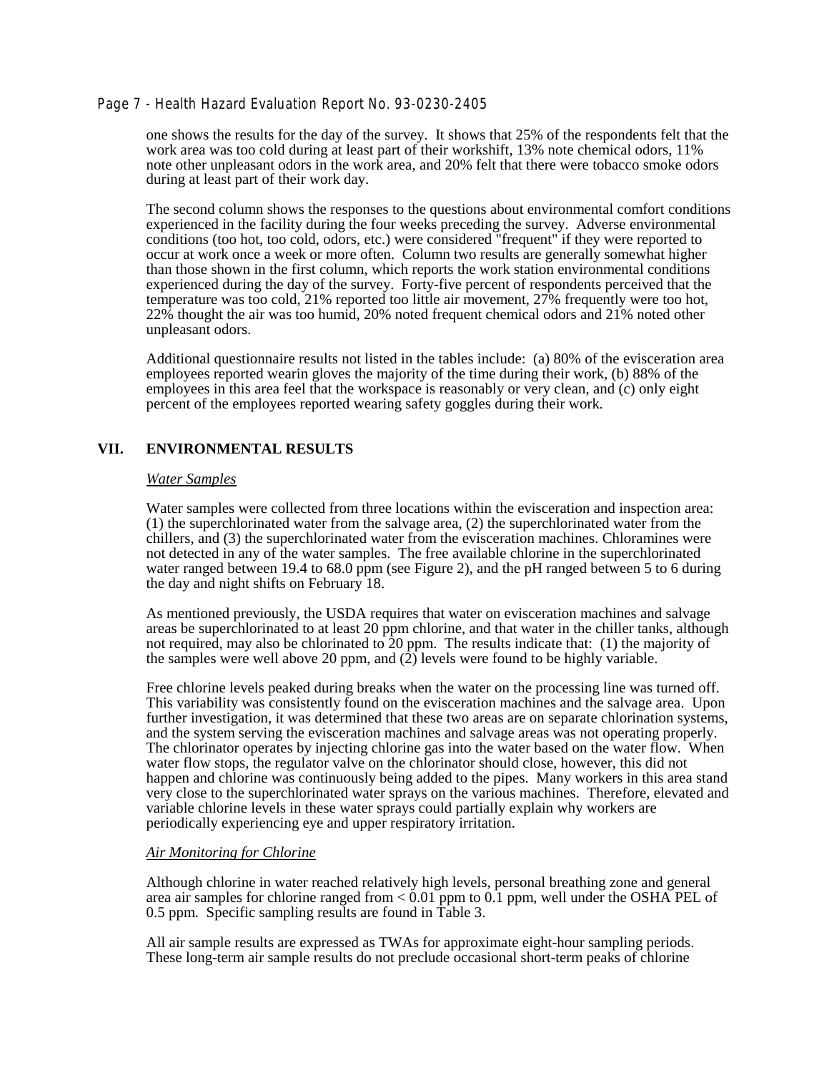### Page 7 - Health Hazard Evaluation Report No. 93-0230-2405

one shows the results for the day of the survey. It shows that 25% of the respondents felt that the work area was too cold during at least part of their workshift, 13% note chemical odors, 11% note other unpleasant odors in the work area, and 20% felt that there were tobacco smoke odors during at least part of their work day.

The second column shows the responses to the questions about environmental comfort conditions experienced in the facility during the four weeks preceding the survey. Adverse environmental conditions (too hot, too cold, odors, etc.) were considered "frequent" if they were reported to occur at work once a week or more often. Column two results are generally somewhat higher than those shown in the first column, which reports the work station environmental conditions experienced during the day of the survey. Forty-five percent of respondents perceived that the temperature was too cold, 21% reported too little air movement, 27% frequently were too hot, 22% thought the air was too humid, 20% noted frequent chemical odors and 21% noted other unpleasant odors.

Additional questionnaire results not listed in the tables include: (a) 80% of the evisceration area employees reported wearin gloves the majority of the time during their work, (b) 88% of the employees in this area feel that the workspace is reasonably or very clean, and (c) only eight percent of the employees reported wearing safety goggles during their work.

# **VII. ENVIRONMENTAL RESULTS**

#### *Water Samples*

Water samples were collected from three locations within the evisceration and inspection area: (1) the superchlorinated water from the salvage area, (2) the superchlorinated water from the chillers, and (3) the superchlorinated water from the evisceration machines. Chloramines were not detected in any of the water samples. The free available chlorine in the superchlorinated water ranged between 19.4 to 68.0 ppm (see Figure 2), and the pH ranged between 5 to 6 during the day and night shifts on February 18.

As mentioned previously, the USDA requires that water on evisceration machines and salvage areas be superchlorinated to at least 20 ppm chlorine, and that water in the chiller tanks, although not required, may also be chlorinated to  $20$  ppm. The results indicate that: (1) the majority of the samples were well above 20 ppm, and  $(2)$  levels were found to be highly variable.

Free chlorine levels peaked during breaks when the water on the processing line was turned off. This variability was consistently found on the evisceration machines and the salvage area. Upon further investigation, it was determined that these two areas are on separate chlorination systems, and the system serving the evisceration machines and salvage areas was not operating properly. The chlorinator operates by injecting chlorine gas into the water based on the water flow. When water flow stops, the regulator valve on the chlorinator should close, however, this did not happen and chlorine was continuously being added to the pipes. Many workers in this area stand very close to the superchlorinated water sprays on the various machines. Therefore, elevated and variable chlorine levels in these water sprays could partially explain why workers are periodically experiencing eye and upper respiratory irritation.

### *Air Monitoring for Chlorine*

Although chlorine in water reached relatively high levels, personal breathing zone and general area air samples for chlorine ranged from  $< 0.01$  ppm to 0.1 ppm, well under the OSHA PEL of 0.5 ppm. Specific sampling results are found in Table 3.

All air sample results are expressed as TWAs for approximate eight-hour sampling periods. These long-term air sample results do not preclude occasional short-term peaks of chlorine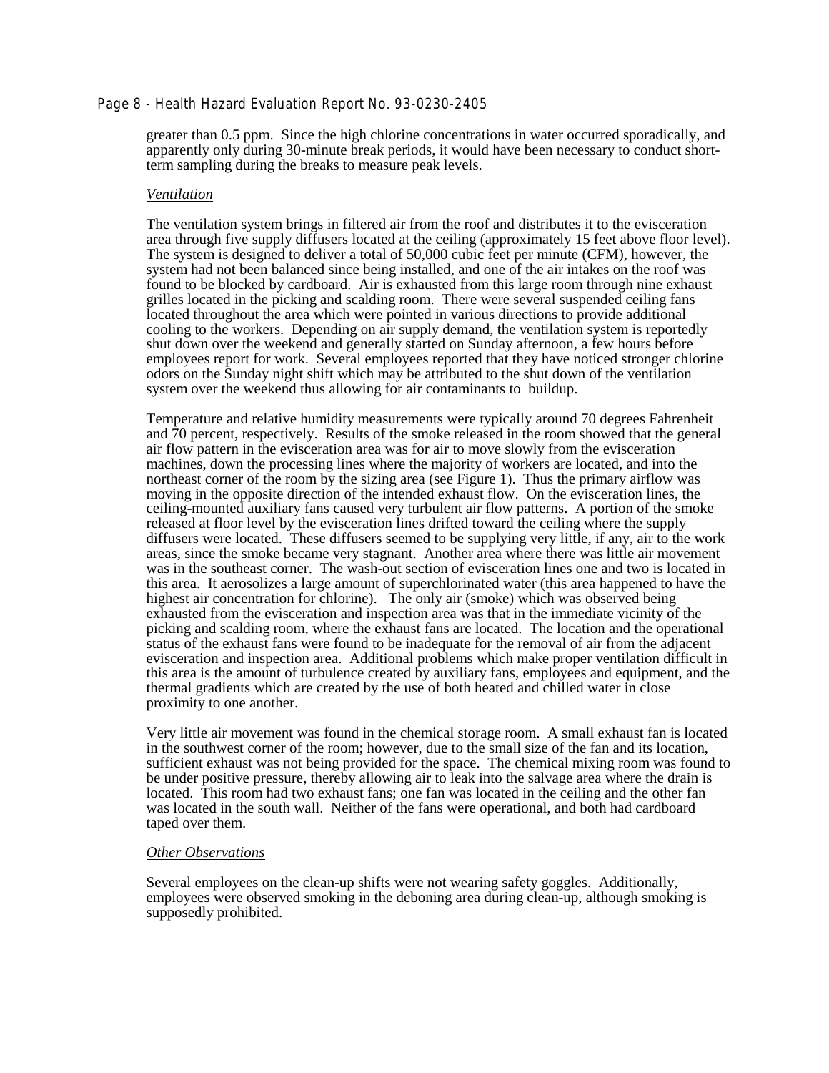### Page 8 - Health Hazard Evaluation Report No. 93-0230-2405

greater than 0.5 ppm. Since the high chlorine concentrations in water occurred sporadically, and apparently only during 30-minute break periods, it would have been necessary to conduct shortterm sampling during the breaks to measure peak levels.

#### *Ventilation*

The ventilation system brings in filtered air from the roof and distributes it to the evisceration area through five supply diffusers located at the ceiling (approximately 15 feet above floor level). The system is designed to deliver a total of 50,000 cubic feet per minute (CFM), however, the system had not been balanced since being installed, and one of the air intakes on the roof was found to be blocked by cardboard. Air is exhausted from this large room through nine exhaust grilles located in the picking and scalding room. There were several suspended ceiling fans located throughout the area which were pointed in various directions to provide additional cooling to the workers. Depending on air supply demand, the ventilation system is reportedly shut down over the weekend and generally started on Sunday afternoon, a few hours before employees report for work. Several employees reported that they have noticed stronger chlorine odors on the Sunday night shift which may be attributed to the shut down of the ventilation system over the weekend thus allowing for air contaminants to buildup.

Temperature and relative humidity measurements were typically around 70 degrees Fahrenheit and 70 percent, respectively. Results of the smoke released in the room showed that the general air flow pattern in the evisceration area was for air to move slowly from the evisceration machines, down the processing lines where the majority of workers are located, and into the northeast corner of the room by the sizing area (see Figure 1). Thus the primary airflow was moving in the opposite direction of the intended exhaust flow. On the evisceration lines, the ceiling-mounted auxiliary fans caused very turbulent air flow patterns. A portion of the smoke released at floor level by the evisceration lines drifted toward the ceiling where the supply diffusers were located. These diffusers seemed to be supplying very little, if any, air to the work areas, since the smoke became very stagnant. Another area where there was little air movement was in the southeast corner. The wash-out section of evisceration lines one and two is located in this area. It aerosolizes a large amount of superchlorinated water (this area happened to have the highest air concentration for chlorine). The only air (smoke) which was observed being exhausted from the evisceration and inspection area was that in the immediate vicinity of the picking and scalding room, where the exhaust fans are located. The location and the operational status of the exhaust fans were found to be inadequate for the removal of air from the adjacent evisceration and inspection area. Additional problems which make proper ventilation difficult in this area is the amount of turbulence created by auxiliary fans, employees and equipment, and the thermal gradients which are created by the use of both heated and chilled water in close proximity to one another.

Very little air movement was found in the chemical storage room. A small exhaust fan is located in the southwest corner of the room; however, due to the small size of the fan and its location, sufficient exhaust was not being provided for the space. The chemical mixing room was found to be under positive pressure, thereby allowing air to leak into the salvage area where the drain is located. This room had two exhaust fans; one fan was located in the ceiling and the other fan was located in the south wall. Neither of the fans were operational, and both had cardboard taped over them.

#### *Other Observations*

Several employees on the clean-up shifts were not wearing safety goggles. Additionally, employees were observed smoking in the deboning area during clean-up, although smoking is supposedly prohibited.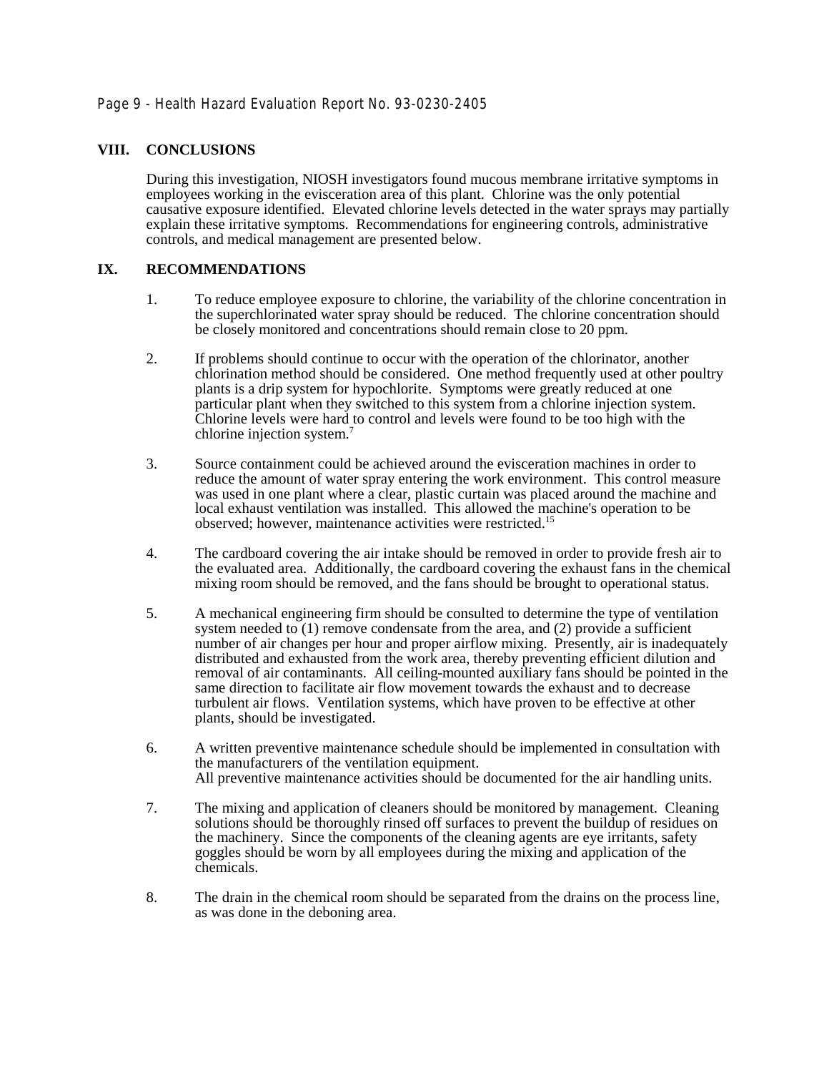# **VIII. CONCLUSIONS**

During this investigation, NIOSH investigators found mucous membrane irritative symptoms in employees working in the evisceration area of this plant. Chlorine was the only potential causative exposure identified. Elevated chlorine levels detected in the water sprays may partially explain these irritative symptoms. Recommendations for engineering controls, administrative controls, and medical management are presented below.

# **IX. RECOMMENDATIONS**

- 1. To reduce employee exposure to chlorine, the variability of the chlorine concentration in the superchlorinated water spray should be reduced. The chlorine concentration should be closely monitored and concentrations should remain close to 20 ppm.
- 2. If problems should continue to occur with the operation of the chlorinator, another chlorination method should be considered. One method frequently used at other poultry plants is a drip system for hypochlorite. Symptoms were greatly reduced at one particular plant when they switched to this system from a chlorine injection system. Chlorine levels were hard to control and levels were found to be too high with the chlorine injection system.7
- 3. Source containment could be achieved around the evisceration machines in order to reduce the amount of water spray entering the work environment. This control measure was used in one plant where a clear, plastic curtain was placed around the machine and local exhaust ventilation was installed. This allowed the machine's operation to be observed; however, maintenance activities were restricted.15
- 4. The cardboard covering the air intake should be removed in order to provide fresh air to the evaluated area. Additionally, the cardboard covering the exhaust fans in the chemical mixing room should be removed, and the fans should be brought to operational status.
- 5. A mechanical engineering firm should be consulted to determine the type of ventilation system needed to  $(1)$  remove condensate from the area, and  $(2)$  provide a sufficient number of air changes per hour and proper airflow mixing. Presently, air is inadequately distributed and exhausted from the work area, thereby preventing efficient dilution and removal of air contaminants. All ceiling-mounted auxiliary fans should be pointed in the same direction to facilitate air flow movement towards the exhaust and to decrease turbulent air flows. Ventilation systems, which have proven to be effective at other plants, should be investigated.
- 6. A written preventive maintenance schedule should be implemented in consultation with the manufacturers of the ventilation equipment. All preventive maintenance activities should be documented for the air handling units.
- 7. The mixing and application of cleaners should be monitored by management. Cleaning solutions should be thoroughly rinsed off surfaces to prevent the buildup of residues on the machinery. Since the components of the cleaning agents are eye irritants, safety goggles should be worn by all employees during the mixing and application of the chemicals.
- 8. The drain in the chemical room should be separated from the drains on the process line, as was done in the deboning area.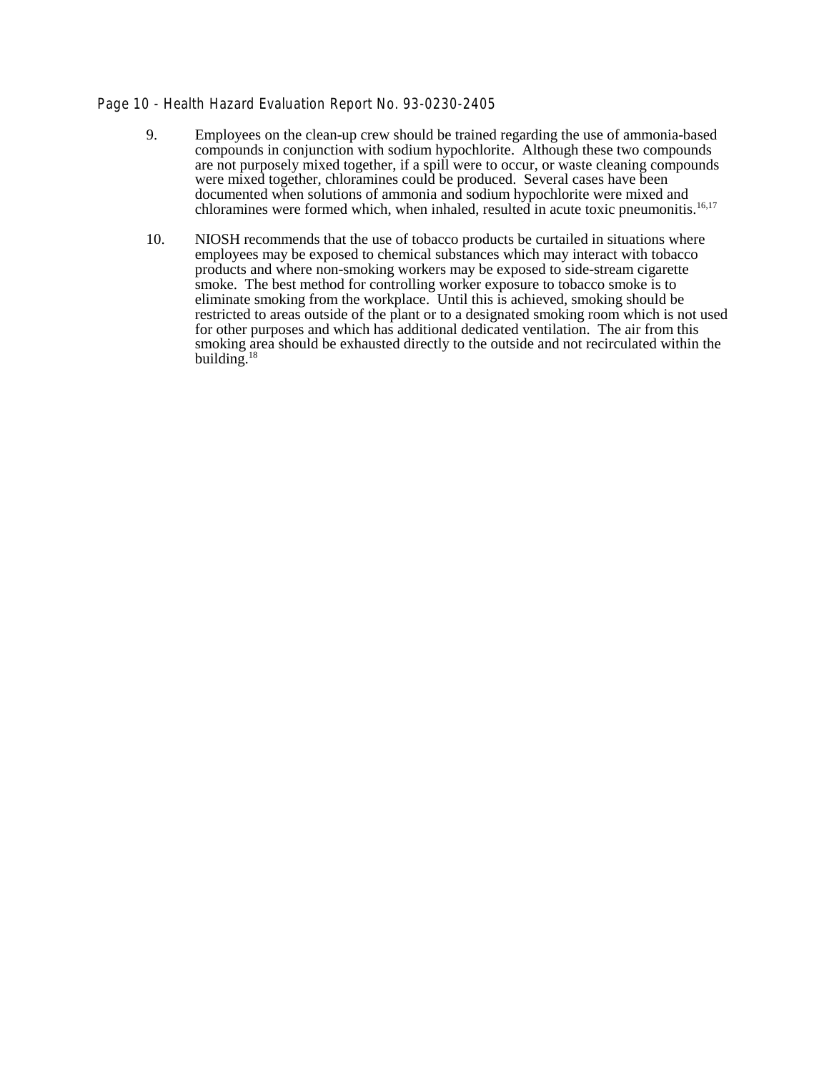# Page 10 - Health Hazard Evaluation Report No. 93-0230-2405

- 9. Employees on the clean-up crew should be trained regarding the use of ammonia-based compounds in conjunction with sodium hypochlorite. Although these two compounds are not purposely mixed together, if a spill were to occur, or waste cleaning compounds were mixed together, chloramines could be produced. Several cases have been documented when solutions of ammonia and sodium hypochlorite were mixed and chloramines were formed which, when inhaled, resulted in acute toxic pneumonitis.<sup>16,17</sup>
- 10. NIOSH recommends that the use of tobacco products be curtailed in situations where employees may be exposed to chemical substances which may interact with tobacco products and where non-smoking workers may be exposed to side-stream cigarette smoke. The best method for controlling worker exposure to tobacco smoke is to eliminate smoking from the workplace. Until this is achieved, smoking should be restricted to areas outside of the plant or to a designated smoking room which is not used for other purposes and which has additional dedicated ventilation. The air from this smoking area should be exhausted directly to the outside and not recirculated within the building. $1$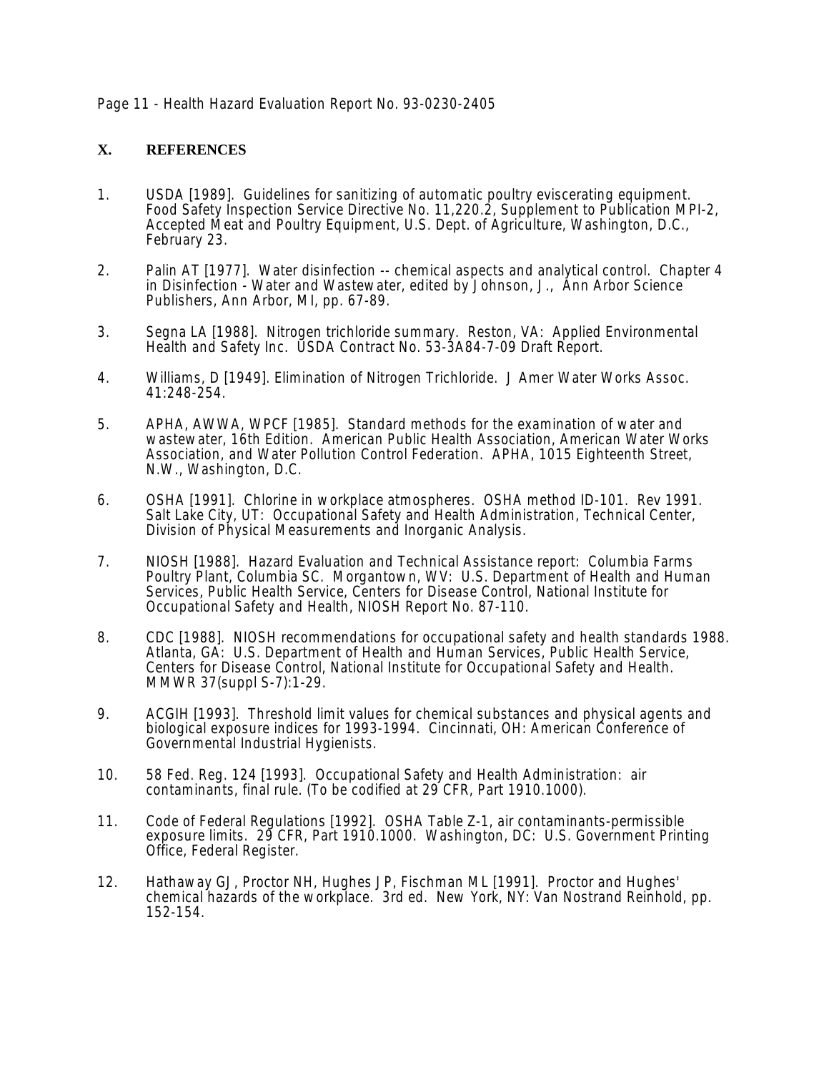# Page 11 - Health Hazard Evaluation Report No. 93-0230-2405

# **X. REFERENCES**

- 1. USDA [1989]. Guidelines for sanitizing of automatic poultry eviscerating equipment. Food Safety Inspection Service Directive No. 11,220.2, Supplement to Publication MPI-2, Accepted Meat and Poultry Equipment, U.S. Dept. of Agriculture, Washington, D.C., February 23.
- 2. Palin AT [1977]. Water disinfection -- chemical aspects and analytical control. Chapter 4 in Disinfection - Water and Wastewater, edited by Johnson, J., Ann Arbor Science Publishers, Ann Arbor, MI, pp. 67-89.
- 3. Segna LA [1988]. Nitrogen trichloride summary. Reston, VA: Applied Environmental Health and Safety Inc. USDA Contract No. 53-3A84-7-09 Draft Report.
- 4. Williams, D [1949]. Elimination of Nitrogen Trichloride. J Amer Water Works Assoc. 41:248-254.
- 5. APHA, AWWA, WPCF [1985]. Standard methods for the examination of water and wastewater, 16th Edition. American Public Health Association, American Water Works Association, and Water Pollution Control Federation. APHA, 1015 Eighteenth Street, N.W., Washington, D.C.
- 6. OSHA [1991]. Chlorine in workplace atmospheres. OSHA method ID-101. Rev 1991. Salt Lake City, UT: Occupational Safety and Health Administration, Technical Center, Division of Physical Measurements and Inorganic Analysis.
- 7. NIOSH [1988]. Hazard Evaluation and Technical Assistance report: Columbia Farms Poultry Plant, Columbia SC. Morgantown, WV: U.S. Department of Health and Human Services, Public Health Service, Centers for Disease Control, National Institute for Occupational Safety and Health, NIOSH Report No. 87-110.
- 8. CDC [1988]. NIOSH recommendations for occupational safety and health standards 1988. Atlanta, GA: U.S. Department of Health and Human Services, Public Health Service, Centers for Disease Control, National Institute for Occupational Safety and Health. MMWR 37(suppl S-7):1-29.
- 9. ACGIH [1993]. Threshold limit values for chemical substances and physical agents and biological exposure indices for 1993-1994. Cincinnati, OH: American Conference of Governmental Industrial Hygienists.
- 10. 58 Fed. Reg. 124 [1993]. Occupational Safety and Health Administration: air contaminants, final rule. (To be codified at 29 CFR, Part 1910.1000).
- 11. Code of Federal Regulations [1992]. OSHA Table Z-1, air contaminants-permissible exposure limits. 29 CFR, Part 1910.1000. Washington, DC: U.S. Government Printing Office, Federal Register.
- 12. Hathaway GJ, Proctor NH, Hughes JP, Fischman ML [1991]. Proctor and Hughes' chemical hazards of the workplace. 3rd ed. New York, NY: Van Nostrand Reinhold, pp. 152-154.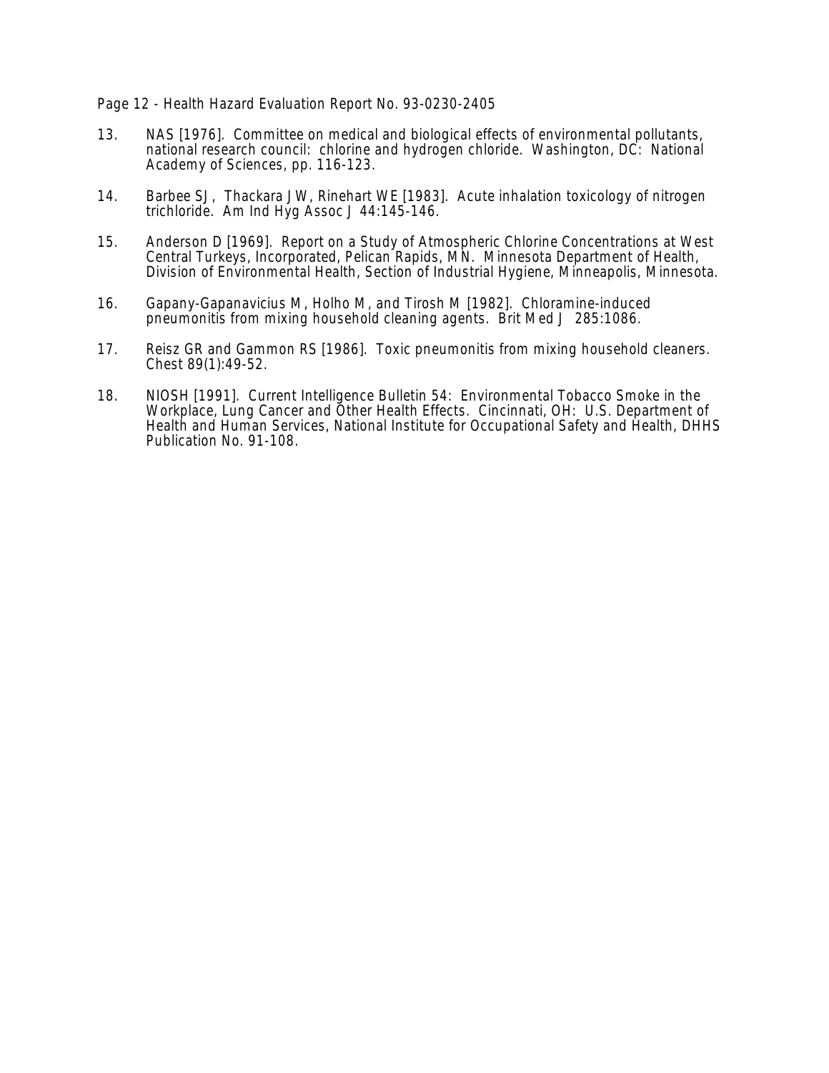### Page 12 - Health Hazard Evaluation Report No. 93-0230-2405

- 13. NAS [1976]. Committee on medical and biological effects of environmental pollutants, national research council: chlorine and hydrogen chloride. Washington, DC: National Academy of Sciences, pp. 116-123.
- 14. Barbee SJ, Thackara JW, Rinehart WE [1983]. Acute inhalation toxicology of nitrogen trichloride. Am Ind Hyg Assoc J 44:145-146.
- 15. Anderson D [1969]. Report on a Study of Atmospheric Chlorine Concentrations at West Central Turkeys, Incorporated, Pelican Rapids, MN. Minnesota Department of Health, Division of Environmental Health, Section of Industrial Hygiene, Minneapolis, Minnesota.
- 16. Gapany-Gapanavicius M, Holho M, and Tirosh M [1982]. Chloramine-induced pneumonitis from mixing household cleaning agents. Brit Med J 285:1086.
- 17. Reisz GR and Gammon RS [1986]. Toxic pneumonitis from mixing household cleaners. Chest 89(1):49-52.
- 18. NIOSH [1991]. Current Intelligence Bulletin 54: Environmental Tobacco Smoke in the Workplace, Lung Cancer and Other Health Effects. Cincinnati, OH: U.S. Department of Health and Human Services, National Institute for Occupational Safety and Health, DHHS Publication No. 91-108.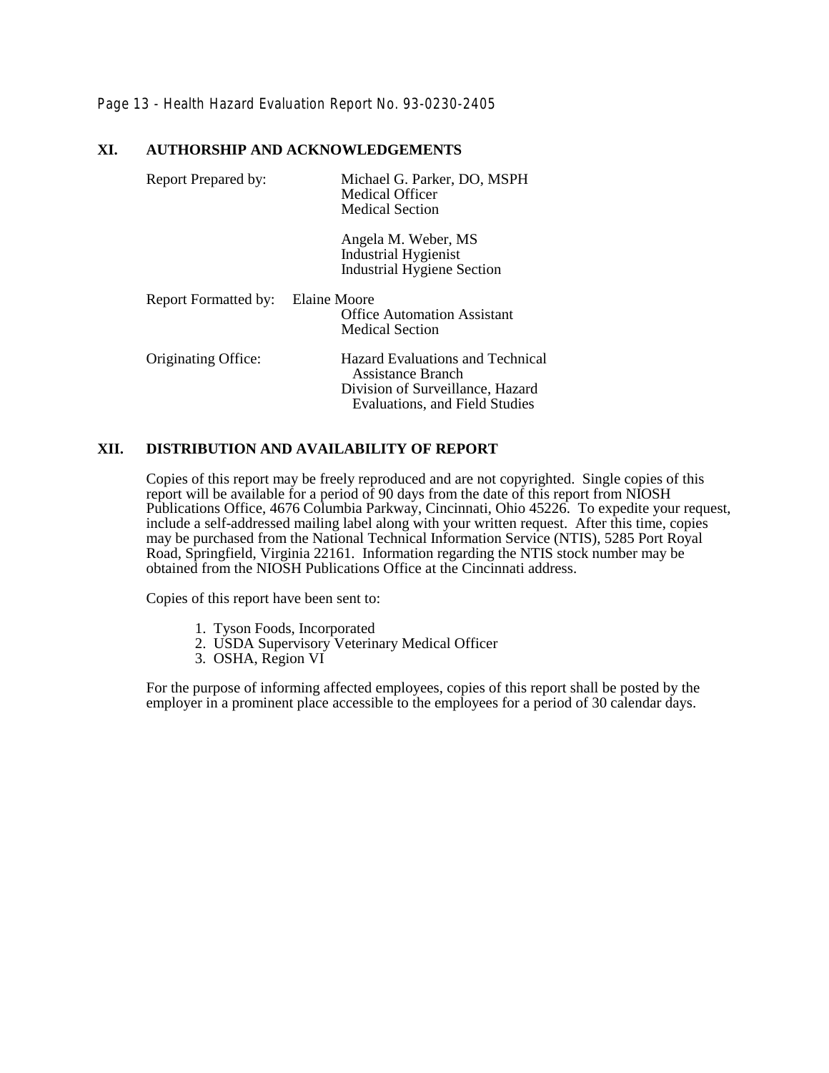Page 13 - Health Hazard Evaluation Report No. 93-0230-2405

# **XI. AUTHORSHIP AND ACKNOWLEDGEMENTS**

| Report Prepared by:         | Michael G. Parker, DO, MSPH<br>Medical Officer<br><b>Medical Section</b>                                                                  |  |
|-----------------------------|-------------------------------------------------------------------------------------------------------------------------------------------|--|
|                             | Angela M. Weber, MS<br><b>Industrial Hygienist</b><br><b>Industrial Hygiene Section</b>                                                   |  |
| <b>Report Formatted by:</b> | Elaine Moore<br><b>Office Automation Assistant</b><br><b>Medical Section</b>                                                              |  |
| Originating Office:         | <b>Hazard Evaluations and Technical</b><br>Assistance Branch<br>Division of Surveillance, Hazard<br><b>Evaluations, and Field Studies</b> |  |

# **XII. DISTRIBUTION AND AVAILABILITY OF REPORT**

Copies of this report may be freely reproduced and are not copyrighted. Single copies of this report will be available for a period of 90 days from the date of this report from NIOSH Publications Office, 4676 Columbia Parkway, Cincinnati, Ohio 45226. To expedite your request, include a self-addressed mailing label along with your written request. After this time, copies may be purchased from the National Technical Information Service (NTIS), 5285 Port Royal Road, Springfield, Virginia 22161. Information regarding the NTIS stock number may be obtained from the NIOSH Publications Office at the Cincinnati address.

Copies of this report have been sent to:

- 1. Tyson Foods, Incorporated
- 2. USDA Supervisory Veterinary Medical Officer
- 3. OSHA, Region VI

For the purpose of informing affected employees, copies of this report shall be posted by the employer in a prominent place accessible to the employees for a period of 30 calendar days.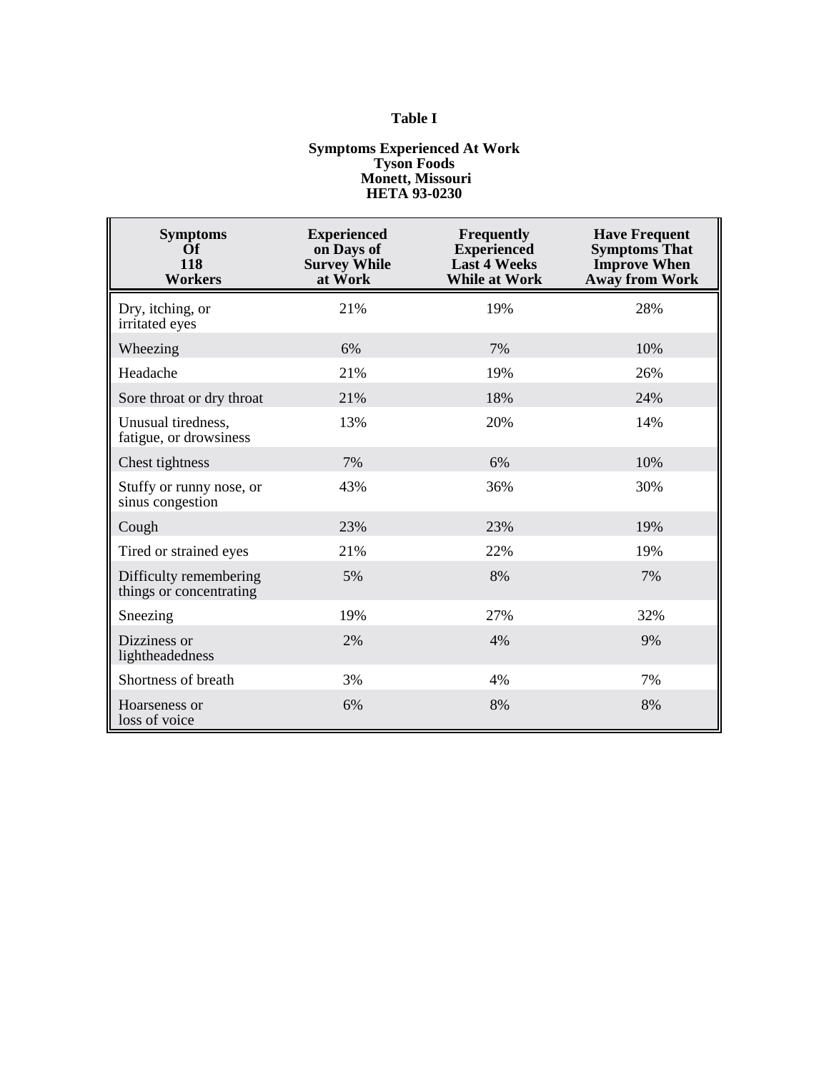# **Table I**

#### **Symptoms Experienced At Work Tyson Foods Monett, Missouri HETA 93-0230**

| <b>Symptoms</b><br><b>Of</b><br>118<br><b>Workers</b> | <b>Experienced</b><br>on Days of<br><b>Survey While</b><br>at Work | <b>Frequently</b><br><b>Experienced</b><br><b>Last 4 Weeks</b><br><b>While at Work</b> | <b>Have Frequent</b><br><b>Symptoms That</b><br><b>Improve When</b><br><b>Away from Work</b> |
|-------------------------------------------------------|--------------------------------------------------------------------|----------------------------------------------------------------------------------------|----------------------------------------------------------------------------------------------|
| Dry, itching, or<br>irritated eyes                    | 21%                                                                | 19%                                                                                    | 28%                                                                                          |
| Wheezing                                              | 6%                                                                 | 7%                                                                                     | 10%                                                                                          |
| Headache                                              | 21%                                                                | 19%                                                                                    | 26%                                                                                          |
| Sore throat or dry throat                             | 21%                                                                | 18%                                                                                    | 24%                                                                                          |
| Unusual tiredness,<br>fatigue, or drowsiness          | 13%                                                                | 20%                                                                                    | 14%                                                                                          |
| Chest tightness                                       | 7%                                                                 | 6%                                                                                     | 10%                                                                                          |
| Stuffy or runny nose, or<br>sinus congestion          | 43%                                                                | 36%                                                                                    | 30%                                                                                          |
| Cough                                                 | 23%                                                                | 23%                                                                                    | 19%                                                                                          |
| Tired or strained eyes                                | 21%                                                                | 22%                                                                                    | 19%                                                                                          |
| Difficulty remembering<br>things or concentrating     | 5%                                                                 | 8%                                                                                     | 7%                                                                                           |
| Sneezing                                              | 19%                                                                | 27%                                                                                    | 32%                                                                                          |
| Dizziness or<br>lightheadedness                       | 2%                                                                 | 4%                                                                                     | 9%                                                                                           |
| Shortness of breath                                   | 3%                                                                 | 4%                                                                                     | 7%                                                                                           |
| Hoarseness or<br>loss of voice                        | 6%                                                                 | 8%                                                                                     | 8%                                                                                           |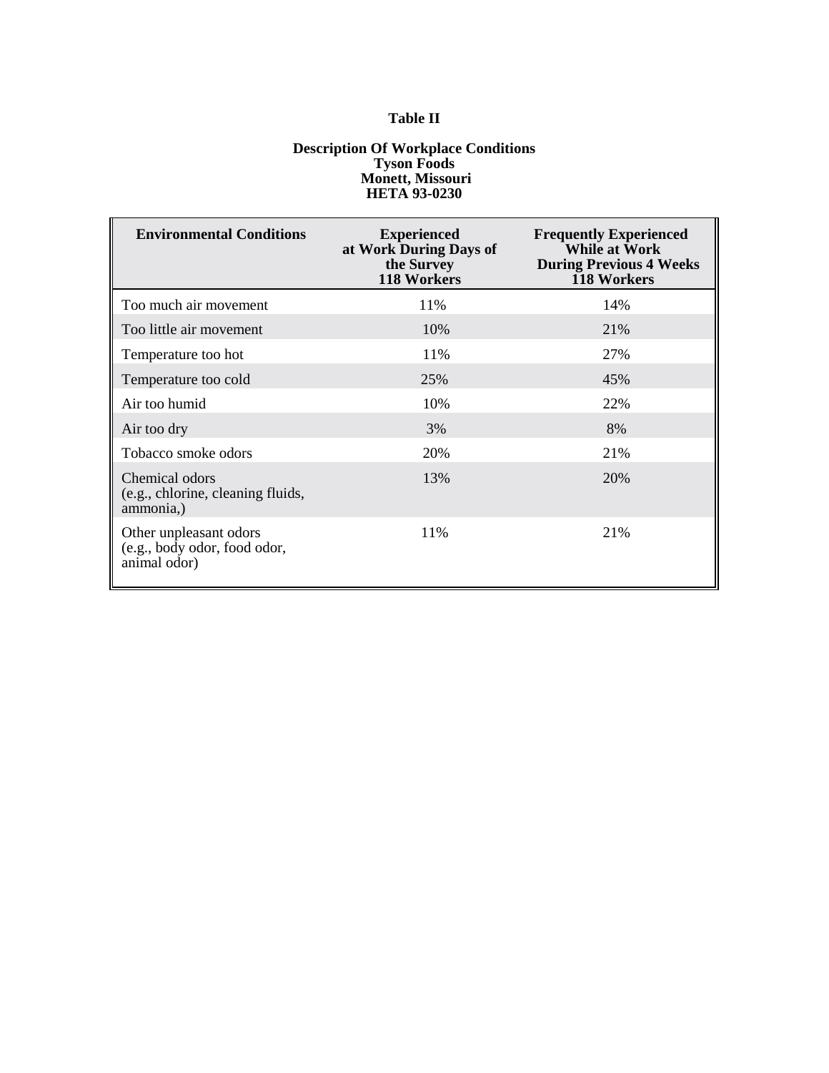# **Table II**

#### **Description Of Workplace Conditions Tyson Foods Monett, Missouri HETA 93-0230**

| <b>Environmental Conditions</b>                                        | <b>Experienced</b><br>at Work During Days of<br>the Survey<br>118 Workers | <b>Frequently Experienced</b><br>While at Work<br><b>During Previous 4 Weeks</b><br>118 Workers |
|------------------------------------------------------------------------|---------------------------------------------------------------------------|-------------------------------------------------------------------------------------------------|
| Too much air movement                                                  | 11%                                                                       | 14%                                                                                             |
| Too little air movement                                                | 10%                                                                       | 21%                                                                                             |
| Temperature too hot                                                    | 11%                                                                       | 27%                                                                                             |
| Temperature too cold                                                   | 25%                                                                       | 45%                                                                                             |
| Air too humid                                                          | 10%                                                                       | 22%                                                                                             |
| Air too dry                                                            | 3%                                                                        | 8%                                                                                              |
| Tobacco smoke odors                                                    | 20%                                                                       | 21%                                                                                             |
| Chemical odors<br>(e.g., chlorine, cleaning fluids,<br>ammonia,        | 13%                                                                       | 20%                                                                                             |
| Other unpleasant odors<br>(e.g., body odor, food odor,<br>animal odor) | 11%                                                                       | 21%                                                                                             |